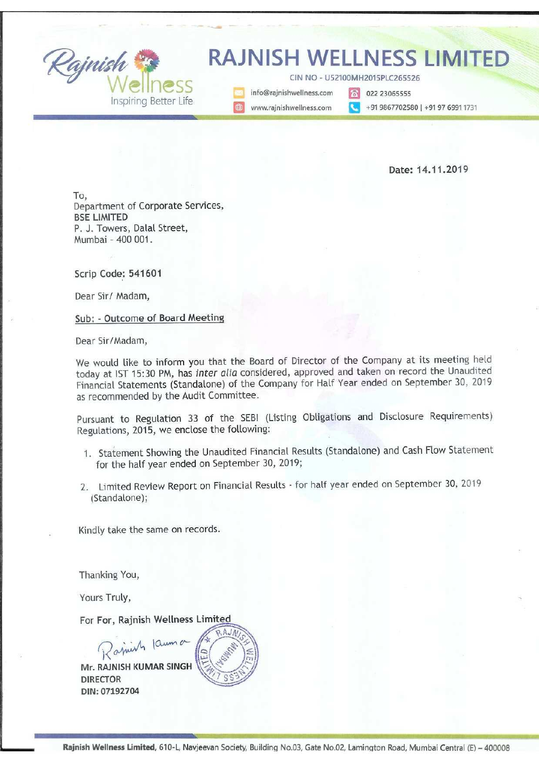Rajnish<br>Wellness<br>Inspiring Better Life

<u> 1986 - An Antonio Antonio Antonio III (m. 1987)</u>

# Rajnish RAJNISH WELLNESS LIMITED

CIN NO - U52100MH2015PLC265526<br>
Manufo@rajnishwellness.com
To 022 23065555

Inspiring Better Life **Meerane State Communishmeliness.com** Meerane 19867702580 | +91 97 6991 1731

Date: 14.11.2019

To, Department of Corporate Services, BSE LIMITED P. J. Towers, Dalal Street, Mumbai - 400 001.

Scrip Code: 541601

Dear Sir/ Madam,

Sub: - Outcome of Board Meeting

Dear Sir/Madam,

We would like to inform you that the Board of Director of the Company at its meeting held today at IST 15:30 PM, has inter alia considered, approved and taken on record the Unaudited Financial Statements (Standalone) of the Company for Half Year ended on September 30, 2019 as recommended by the Audit Committee.

Pursuant to Regulation 33 of the SEBI (Listing Obligations and Disclosure Requirements) Regulations, 2015, we enclose the following:

- 1. Statement Showing the Unaudited Financial Results (Standalone) and Cash Flow Statement for the half year ended on September 30, 2019;
- 2. Limited Review Report on Financial Results for half year ended on September 30, 2019 (Standalone);

Kindly take the same on records.

Thanking You,

Yours Truly,

For For, Rajnish Wellness Limited  $\lim_{\substack{ }\\ \phantom{a}}\frac{1}{2}$ 

Rajnish Kauma Mr. RAJNISH KUMAR SINGH DIRECTOR DIN: 07192704



era<br>1 Rajnish Wellness Limited, 610-L, Navjeevan Society, Building No.03, Gate No.02, Lamington Road, Mumbai Central (E) - 400008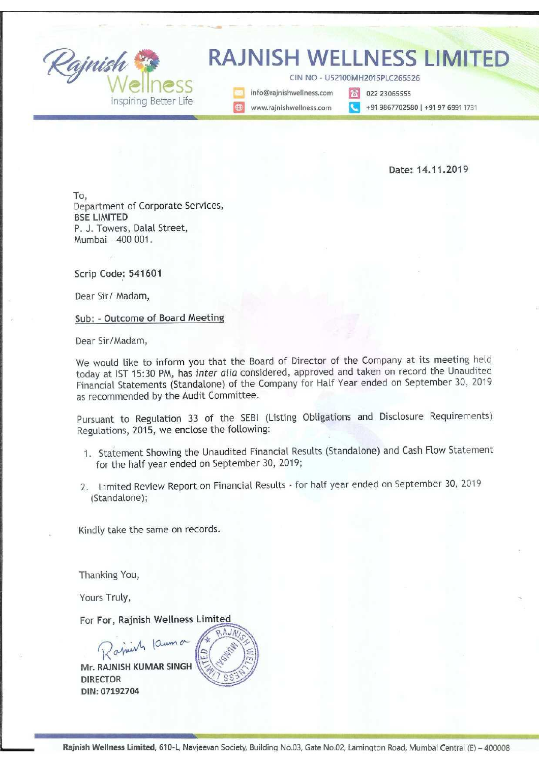# Ashok Choudhary & Associates Ashok Choudhary & Associates<br>Chartered Accountants

Chartered Accountants

3/911 Navjivan Society Cell: 90296-80259

Mumbai - 400 008

Lamington Road E Mail: ashok.c.ca@gmail.com

# Independent Auditor's Review Report on Unaudited Half Yearly Standalone Financials Results of Rajnish Wellness Limited in Pursuant to the Regulation 33 of the SEBI (Listing Obligations and Disclosure Requirements) Regulations, <sup>2015</sup>

To The Board of Directors, RAJNISH WELLNESS LIMITED,

We have received the accompanying statement of unaudited Standalone financials result of RAJNISH WELLNESS LIMITED ('the Company') for the Half Year ended 30<sup>th</sup> September, 2019 ('the statement'), being submitted by the company pursuant to the requirement of Regulation 33 of the SEBI (Listing Obligations and Disclosure Requirements) Regulations, 2015, as modified by Circular No. CIR/CFD/CMD1/44/2019 dated 29th March, 2019.

This statement is the responsibility of the Company's Management and approved by the Board of Directors/Committee of Board of Directors, has been prepared in accordance with the recognition and measurement principles laid down in Accounting Standard 25 Interim Financial Reporting (AS 25), prescribed under section 133 of the Companies Act 2013, read with relevant rules issued there under and other accounting principles generally accepted in India. Our responsibility is to issue a report on the Statement based on our review.

We conducted our review in accordance with the Standard on Review Engagements (SRE) 2410, Review of Interim Financial Information Performed by the Independent Auditor of the Entity, issued by the Institute of Chartered Accountants of India. This standard requires that we plan and perform the review to obtain moderate assurance as to whether the financial statements are free from material misstatement. A review is limited primarily to inquiries a company personnel and analytical procedures applied to financial data and thus provide less assurance than an audit. We have not performed an audit and accordingly, we do not express an audit opinion. and Standalone financials result of<br>the Half Year ended 30<sup>th</sup> September,<br>the Half Year ended 30<sup>th</sup> September,<br>ossure Requirements) Regulations, 2015,<br>ed 29<sup>th</sup> March, 2019.<br>magement and approved by the Board of<br>counting

Based on our review conducted as stated above, nothing has come to our attention that causes us to believe that the accompanying statement, prepared in accordance with the aforesaid Indian accounting standards and other accounting principles generally accepted in India, has not

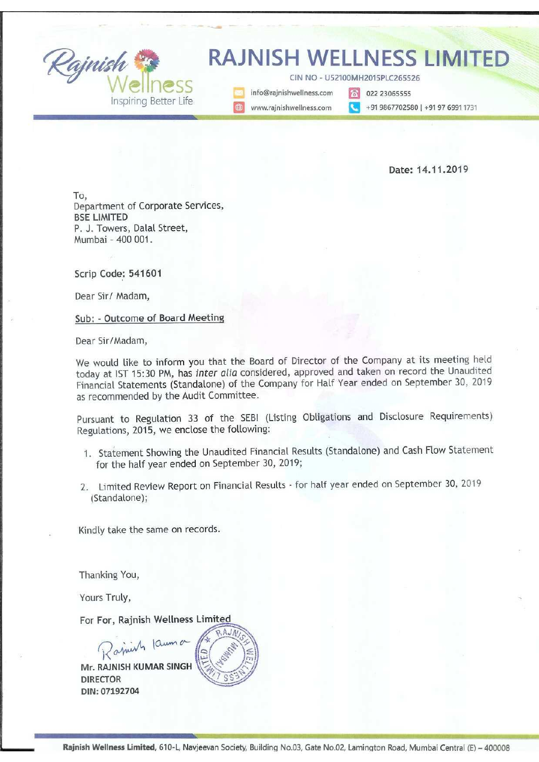disclosed the information required to be disclosed in terms of Regulation 33 of SEBI (Listing Obligations and Disclosure Requirements) Regulations, 2015, as modified by Circular No. CIR/CFD/CMD1/44/2019 dated 29<sup>th</sup> March, 2019 including the manner in which it is to be disclosed, or that it contains any material misstatement.

We have reviewed the financial results and the other information presented in accordance with Accounting Standard 25 Interim Financial Reporting (AS 25) for the half year ended 30% September, 2019 and have been presented solely on the basis of information compiled by the management.

> For Ashok Choudhary & Associates Chartered Accountants FRN No. 130405W

OHARY O NOOD Chartered<br>Accountant Ashok Choudhary MUMBA Proprietor

Membership No: 046679 UDIN: -----------------

Place: Mumbai 19049976AAAAKE 2675 Place: Mumbai<br>Date: 14.11.2019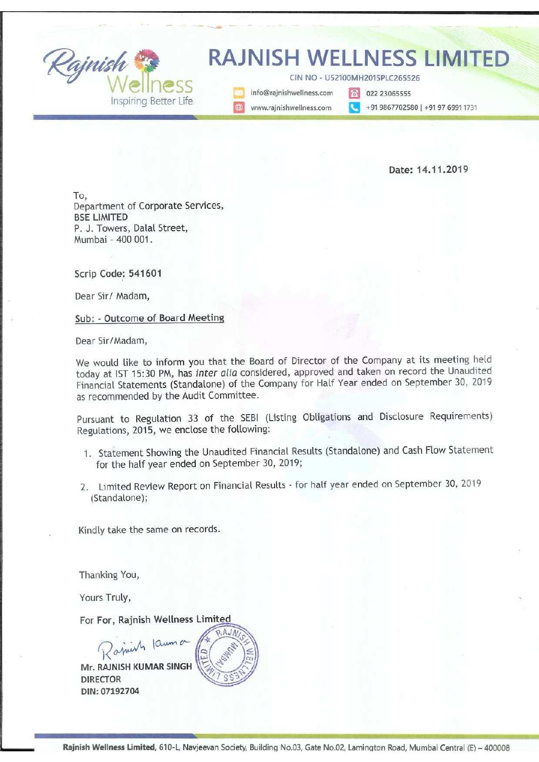### RAJNISH WELLNESS LIMITED

(Formerly known as "Rajnish Hot Deals Private Limited") Corporate Identification Number : L52100MH2015PLC265526 RAJNISH WELLNESS LIMITED<br>(Formerly known as "Rajnish Hot Deals Private Limited")<br>Corporate Identification Number : L52100MH2015PLC265526<br>Statement of Unaudited Financial Results for the Half Year ended 30th

|                      | <b>RAJNISH WELLNESS LIMITED</b><br>(Formerly known as "Rajnish Hot Deals Private Limited")                         |                                              |                          |                             |                              |                              |
|----------------------|--------------------------------------------------------------------------------------------------------------------|----------------------------------------------|--------------------------|-----------------------------|------------------------------|------------------------------|
|                      | Corporate Identification Number : L52100MH2015PLC265526                                                            |                                              |                          |                             |                              |                              |
|                      |                                                                                                                    |                                              |                          |                             |                              |                              |
|                      | Statement of Unaudited Financial Results for the Half Year ended 30th September, 2019 (Limited Review by Auditors) |                                              |                          |                             |                              |                              |
|                      |                                                                                                                    |                                              |                          |                             |                              | ln                           |
| Sr. No.              |                                                                                                                    | <b>Half Year Ended</b><br>For the Year Ended |                          |                             |                              |                              |
|                      | Particulars                                                                                                        | 30.09.2019<br>Unaudited                      | 31.03.2019<br>Audited    | 30.09.2018                  | 31.03.2019                   | 31.03.2018                   |
|                      |                                                                                                                    | (CY H1)                                      | (LY H2)                  | Audited<br>(CY H1)          | Audited<br>FY 18-19          | Audited<br>FY 17-18          |
| -1                   | <b>Revenue from Operations</b>                                                                                     |                                              |                          |                             |                              |                              |
|                      | Net Sales/Income from Operations                                                                                   | 7,18,07,947                                  | 23, 25, 21, 388          | 18,41,51,859                | 41, 66, 73, 247              | 27,49,63,992                 |
|                      | (Net of excise duty)                                                                                               |                                              |                          |                             |                              |                              |
| П.                   | Other Income                                                                                                       | 2,10,980                                     | 26,40,759                | 2,98,760                    |                              |                              |
| Ш                    | Total Revenue(I+II)                                                                                                | 7,20,18,927                                  | 23,51,62,147             | 18,44,50,619                | 29,39,519<br>41,96,12,766    | 1,15,22,982<br>28,64,86,974  |
| ${\sf IV}$           | Expenses                                                                                                           |                                              |                          |                             |                              |                              |
|                      | (a) Cost of Materials consumed                                                                                     |                                              |                          |                             |                              |                              |
|                      | (b) Purchase of stock-in-trade                                                                                     | 21,87,654                                    | 4,40,73,037              | 10,26,62,676                | 14,67,35,713                 | 8,92,61,546                  |
|                      | (c) Changes in inventories of finished goods,                                                                      |                                              |                          |                             |                              |                              |
|                      | work-in progress and stock-in-trade                                                                                | 1,90,74,980                                  | 3,79,439                 | 85,87,485                   | $-82,08,045$                 | 1,40.38.311                  |
|                      | (d) Employee benefits expense                                                                                      | 36,07,501                                    | 73,03,696                | 47,33,862                   | 1,20,37,558                  | 1,00.23.424                  |
|                      | (e) Finance Cost                                                                                                   | 50,39,116                                    | 45,84,473                | 41,95,377                   | 87,79.850                    | 76.23.447                    |
|                      | (f) Depreciation and amortisation expense                                                                          |                                              |                          |                             |                              |                              |
|                      | (g) Other expenses                                                                                                 | 6,26,519<br>4,33,72,780                      | 1,20,344<br>12,57,31,002 | 5,21,534                    | 6,41,878                     | 5,26,065                     |
|                      | <b>Total Expenses</b>                                                                                              | 7,39,08,550                                  | 18,21,91,991             | 7,51,94,272<br>17,87,20,236 | 20,09,25,274<br>36,09,12,227 | 12,86,45,046<br>25,01,17,840 |
|                      |                                                                                                                    |                                              |                          |                             |                              |                              |
|                      | Profit (Loss) before exceptional and                                                                               |                                              |                          | 57,30,383                   | 5,87,00,539                  | 3,63,69,134                  |
| $\mathbf V$          | extraordinary Items and tax(III-IV)                                                                                | $-18,89,623$                                 |                          |                             |                              |                              |
| VI                   | <b>Exceptional Items</b>                                                                                           |                                              | 5,29,70,156              |                             |                              |                              |
|                      | Profit (Loss) before extraordinary items and                                                                       |                                              |                          |                             |                              |                              |
| VII                  | tax (V-VI)                                                                                                         | (18,89,623.1)                                | 5,29,70,156              | 57,30,383                   | 5,87,00,539                  | 3,63,69,134                  |
| VIII                 | Extraordinary items                                                                                                |                                              |                          |                             |                              |                              |
| 1X<br>$\pmb{\times}$ | Profit (Loss) before tax (VII - VIII)<br><b>Tax Expenses</b>                                                       | (18, 89, 623.1)                              | 5,29,70,156              | 57,30,383                   | 5,87,00,539                  | 3,63,69,134                  |
|                      | (a) Current Tax                                                                                                    |                                              |                          |                             |                              |                              |
|                      | (b) Excess Provision of Tax of earlier years                                                                       |                                              | 1,47,31,705              | 17,00,000                   | 1,64,31,705                  | 1,20,94,798                  |
|                      | (c) Deferred Tax                                                                                                   | $-85,777$                                    | $-1,86,196$              | 1,04,575                    | (81, 620)                    |                              |
| XI                   | Net Profit (Loss) for the period (IX - X)                                                                          | $-18,03,846$                                 | 3,84,24,646              | 39,25,808                   | 4,23,50,454                  | $-64,339$<br>2,43,38,675     |
|                      |                                                                                                                    |                                              |                          |                             |                              |                              |
| XII                  | Paid-up equity share capital (Face Value: Rs.<br>$10/-$ each)                                                      |                                              |                          |                             |                              |                              |
|                      |                                                                                                                    | 46,73,700                                    | 43,45,442                | 46,73,700                   | 43,45,442                    | 3,41,25,000                  |
| XIII                 | <b>Earnings Per Share</b><br>Basic and diluted                                                                     |                                              |                          |                             |                              |                              |

Notes to the Financials Results for the Year ended 30th September, 2019

1 The Financals results have been prepared in accordance with the Generally Accepted Accounting Standards as notified under section Companies Act 2013 ("Act"), read there under and other accounting principles generally accepted in India as amended in India from time to time.

The above Financials Results and Statement of Assets and Liabilities were revived by the Audit Committee and approved by the Board of<br>2 Directors as their respective meetings held on 14th November, 2019<br>The compan does not

4 Figures of previous year / period have been regrouped / recast whereever necessary, in order to make them comparable

Place: Mumbai Date: 14/11/2019 For and on Behalf of Rajnish Wellness Limited

> I.  $\frac{1}{2}$

Kahar Reg Rajnishkumar Singh<br>Managing Director<br>(DIN:07192704)